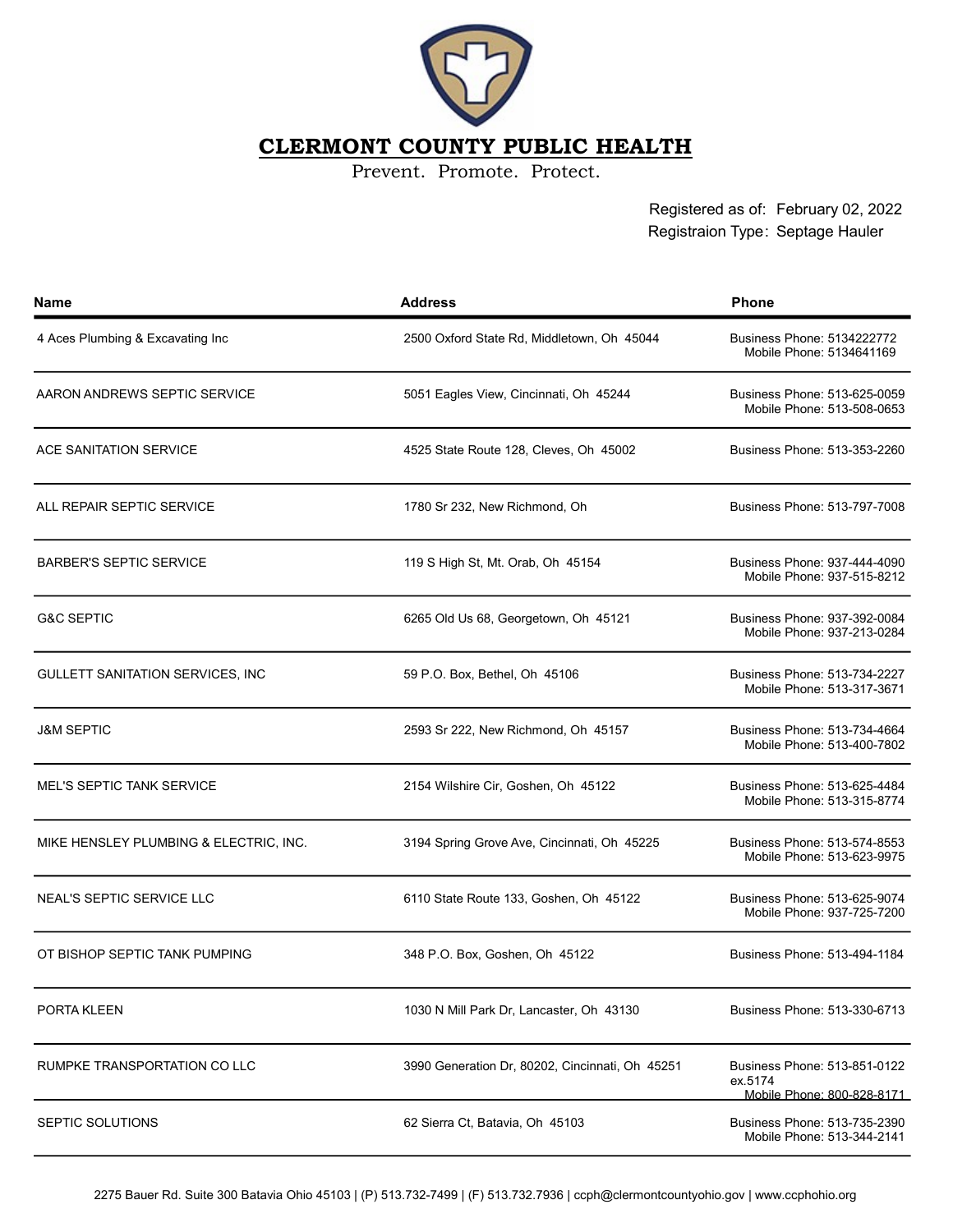

## CLERMONT COUNTY PUBLIC HEALTH

Prevent. Promote. Protect.

Registered as of: February 02, 2022 Registraion Type: Septage Hauler

| <b>Name</b>                            | <b>Address</b>                                  | <b>Phone</b>                                                          |
|----------------------------------------|-------------------------------------------------|-----------------------------------------------------------------------|
| 4 Aces Plumbing & Excavating Inc       | 2500 Oxford State Rd, Middletown, Oh 45044      | Business Phone: 5134222772<br>Mobile Phone: 5134641169                |
| AARON ANDREWS SEPTIC SERVICE           | 5051 Eagles View, Cincinnati, Oh 45244          | Business Phone: 513-625-0059<br>Mobile Phone: 513-508-0653            |
| ACE SANITATION SERVICE                 | 4525 State Route 128, Cleves, Oh 45002          | Business Phone: 513-353-2260                                          |
| ALL REPAIR SEPTIC SERVICE              | 1780 Sr 232, New Richmond, Oh                   | Business Phone: 513-797-7008                                          |
| <b>BARBER'S SEPTIC SERVICE</b>         | 119 S High St, Mt. Orab, Oh 45154               | Business Phone: 937-444-4090<br>Mobile Phone: 937-515-8212            |
| <b>G&amp;C SEPTIC</b>                  | 6265 Old Us 68, Georgetown, Oh 45121            | Business Phone: 937-392-0084<br>Mobile Phone: 937-213-0284            |
| GULLETT SANITATION SERVICES, INC.      | 59 P.O. Box, Bethel, Oh 45106                   | Business Phone: 513-734-2227<br>Mobile Phone: 513-317-3671            |
| <b>J&amp;M SEPTIC</b>                  | 2593 Sr 222, New Richmond, Oh 45157             | Business Phone: 513-734-4664<br>Mobile Phone: 513-400-7802            |
| <b>MEL'S SEPTIC TANK SERVICE</b>       | 2154 Wilshire Cir, Goshen, Oh 45122             | Business Phone: 513-625-4484<br>Mobile Phone: 513-315-8774            |
| MIKE HENSLEY PLUMBING & ELECTRIC, INC. | 3194 Spring Grove Ave, Cincinnati, Oh 45225     | Business Phone: 513-574-8553<br>Mobile Phone: 513-623-9975            |
| <b>NEAL'S SEPTIC SERVICE LLC</b>       | 6110 State Route 133, Goshen, Oh 45122          | Business Phone: 513-625-9074<br>Mobile Phone: 937-725-7200            |
| OT BISHOP SEPTIC TANK PUMPING          | 348 P.O. Box, Goshen, Oh 45122                  | Business Phone: 513-494-1184                                          |
| PORTA KLEEN                            | 1030 N Mill Park Dr. Lancaster, Oh 43130        | Business Phone: 513-330-6713                                          |
| RUMPKE TRANSPORTATION CO LLC           | 3990 Generation Dr. 80202, Cincinnati, Oh 45251 | Business Phone: 513-851-0122<br>ex.5174<br>Mobile Phone: 800-828-8171 |
| SEPTIC SOLUTIONS                       | 62 Sierra Ct, Batavia, Oh 45103                 | Business Phone: 513-735-2390<br>Mobile Phone: 513-344-2141            |